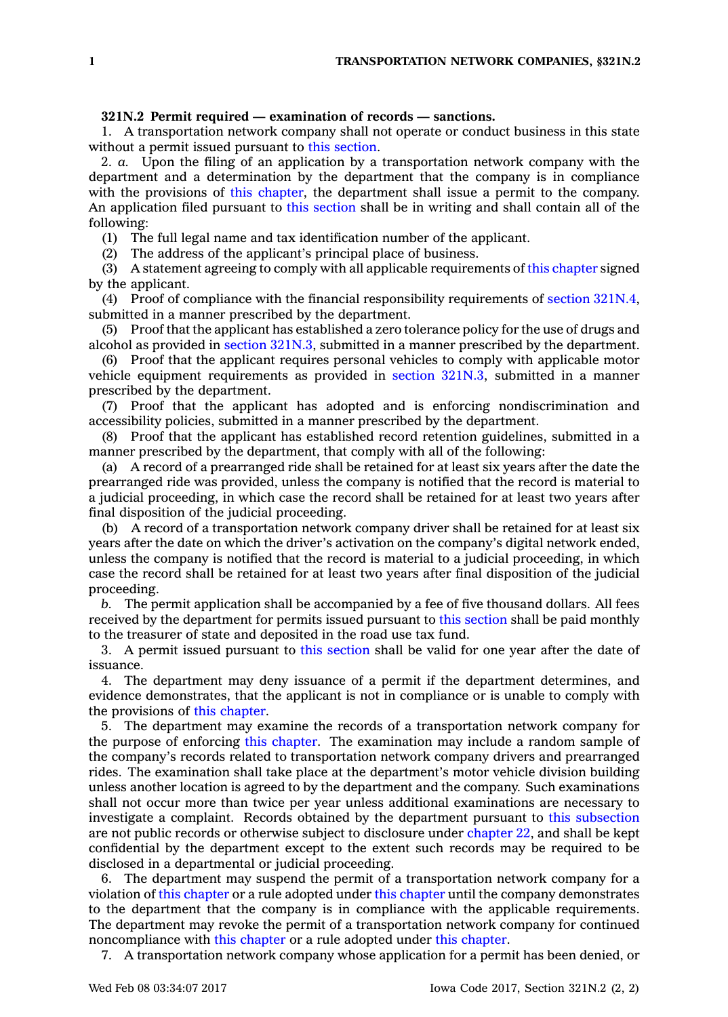## **321N.2 Permit required — examination of records — sanctions.**

1. A transportation network company shall not operate or conduct business in this state without <sup>a</sup> permit issued pursuant to this [section](https://www.legis.iowa.gov/docs/code/321N.2.pdf).

2. *a.* Upon the filing of an application by <sup>a</sup> transportation network company with the department and <sup>a</sup> determination by the department that the company is in compliance with the provisions of this [chapter](https://www.legis.iowa.gov/docs/code//321N.pdf), the department shall issue a permit to the company. An application filed pursuant to this [section](https://www.legis.iowa.gov/docs/code/321N.2.pdf) shall be in writing and shall contain all of the following:

(1) The full legal name and tax identification number of the applicant.

(2) The address of the applicant's principal place of business.

(3) A statement agreeing to comply with all applicable requirements of this [chapter](https://www.legis.iowa.gov/docs/code//321N.pdf) signed by the applicant.

(4) Proof of compliance with the financial responsibility requirements of section [321N.4](https://www.legis.iowa.gov/docs/code/321N.4.pdf), submitted in <sup>a</sup> manner prescribed by the department.

(5) Proof that the applicant has established <sup>a</sup> zero tolerance policy for the use of drugs and alcohol as provided in section [321N.3](https://www.legis.iowa.gov/docs/code/321N.3.pdf), submitted in <sup>a</sup> manner prescribed by the department.

(6) Proof that the applicant requires personal vehicles to comply with applicable motor vehicle equipment requirements as provided in section [321N.3](https://www.legis.iowa.gov/docs/code/321N.3.pdf), submitted in <sup>a</sup> manner prescribed by the department.

(7) Proof that the applicant has adopted and is enforcing nondiscrimination and accessibility policies, submitted in <sup>a</sup> manner prescribed by the department.

(8) Proof that the applicant has established record retention guidelines, submitted in <sup>a</sup> manner prescribed by the department, that comply with all of the following:

(a) A record of <sup>a</sup> prearranged ride shall be retained for at least six years after the date the prearranged ride was provided, unless the company is notified that the record is material to <sup>a</sup> judicial proceeding, in which case the record shall be retained for at least two years after final disposition of the judicial proceeding.

(b) A record of <sup>a</sup> transportation network company driver shall be retained for at least six years after the date on which the driver's activation on the company's digital network ended, unless the company is notified that the record is material to a judicial proceeding, in which case the record shall be retained for at least two years after final disposition of the judicial proceeding.

*b.* The permit application shall be accompanied by <sup>a</sup> fee of five thousand dollars. All fees received by the department for permits issued pursuant to this [section](https://www.legis.iowa.gov/docs/code/321N.2.pdf) shall be paid monthly to the treasurer of state and deposited in the road use tax fund.

3. A permit issued pursuant to this [section](https://www.legis.iowa.gov/docs/code/321N.2.pdf) shall be valid for one year after the date of issuance.

4. The department may deny issuance of <sup>a</sup> permit if the department determines, and evidence demonstrates, that the applicant is not in compliance or is unable to comply with the provisions of this [chapter](https://www.legis.iowa.gov/docs/code//321N.pdf).

5. The department may examine the records of <sup>a</sup> transportation network company for the purpose of enforcing this [chapter](https://www.legis.iowa.gov/docs/code//321N.pdf). The examination may include <sup>a</sup> random sample of the company's records related to transportation network company drivers and prearranged rides. The examination shall take place at the department's motor vehicle division building unless another location is agreed to by the department and the company. Such examinations shall not occur more than twice per year unless additional examinations are necessary to investigate <sup>a</sup> complaint. Records obtained by the department pursuant to this [subsection](https://www.legis.iowa.gov/docs/code/321N.2.pdf) are not public records or otherwise subject to disclosure under [chapter](https://www.legis.iowa.gov/docs/code//22.pdf) 22, and shall be kept confidential by the department except to the extent such records may be required to be disclosed in <sup>a</sup> departmental or judicial proceeding.

6. The department may suspend the permit of <sup>a</sup> transportation network company for <sup>a</sup> violation of this [chapter](https://www.legis.iowa.gov/docs/code//321N.pdf) or <sup>a</sup> rule adopted under this [chapter](https://www.legis.iowa.gov/docs/code//321N.pdf) until the company demonstrates to the department that the company is in compliance with the applicable requirements. The department may revoke the permit of <sup>a</sup> transportation network company for continued noncompliance with this [chapter](https://www.legis.iowa.gov/docs/code//321N.pdf) or <sup>a</sup> rule adopted under this [chapter](https://www.legis.iowa.gov/docs/code//321N.pdf).

7. A transportation network company whose application for <sup>a</sup> permit has been denied, or